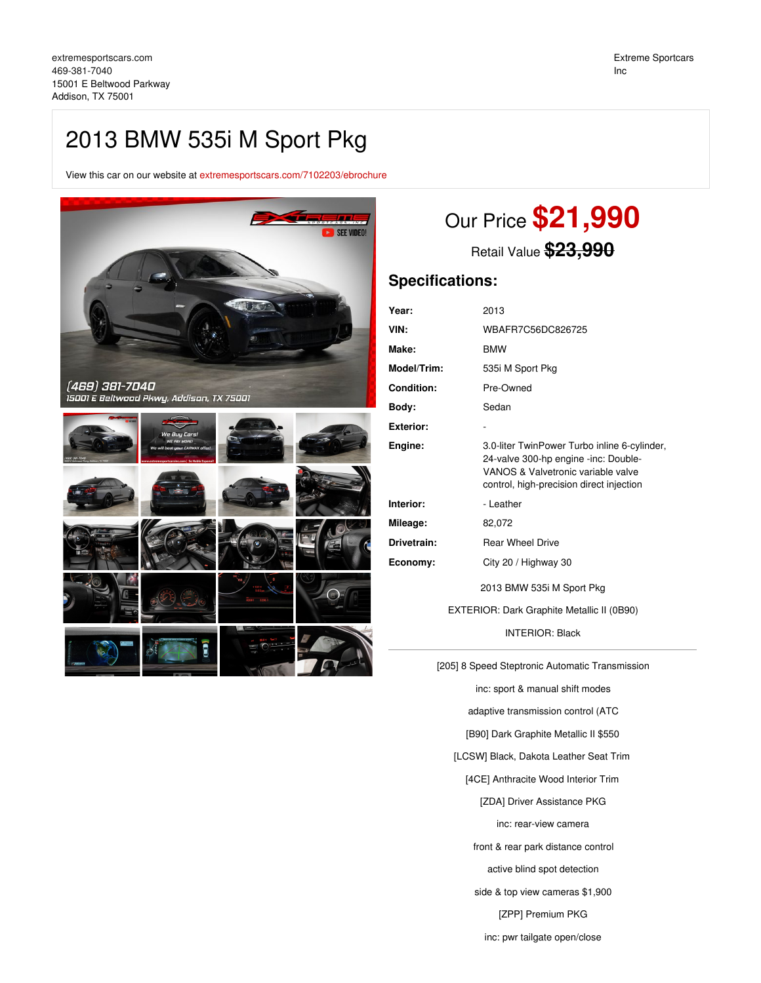## 2013 BMW 535i M Sport Pkg

View this car on our website at [extremesportscars.com/7102203/ebrochure](https://extremesportscars.com/vehicle/7102203/2013-bmw-535i-m-sport-pkg-addison-tx-75001/7102203/ebrochure)



# Our Price **\$21,990**

Retail Value **\$23,990**

### **Specifications:**

| Year:             | 2013                                                                                                                                                                   |
|-------------------|------------------------------------------------------------------------------------------------------------------------------------------------------------------------|
| VIN:              | WBAFR7C56DC826725                                                                                                                                                      |
| Make:             | <b>BMW</b>                                                                                                                                                             |
| Model/Trim:       | 535i M Sport Pkg                                                                                                                                                       |
| <b>Condition:</b> | Pre-Owned                                                                                                                                                              |
| Body:             | Sedan                                                                                                                                                                  |
| <b>Exterior:</b>  | ۰                                                                                                                                                                      |
| Engine:           | 3.0-liter TwinPower Turbo inline 6-cylinder,<br>24-valve 300-hp engine -inc: Double-<br>VANOS & Valvetronic variable valve<br>control, high-precision direct injection |
| Interior:         | - Leather                                                                                                                                                              |
| Mileage:          | 82,072                                                                                                                                                                 |
| Drivetrain:       | <b>Rear Wheel Drive</b>                                                                                                                                                |
| Economy:          | City 20 / Highway 30                                                                                                                                                   |
|                   | 2013 BMW 535i M Sport Pkg                                                                                                                                              |

EXTERIOR: Dark Graphite Metallic II (0B90)

INTERIOR: Black

[205] 8 Speed Steptronic Automatic Transmission

inc: sport & manual shift modes

adaptive transmission control (ATC

[B90] Dark Graphite Metallic II \$550

[LCSW] Black, Dakota Leather Seat Trim

[4CE] Anthracite Wood Interior Trim

[ZDA] Driver Assistance PKG

inc: rear-view camera

front & rear park distance control

active blind spot detection

side & top view cameras \$1,900

[ZPP] Premium PKG

inc: pwr tailgate open/close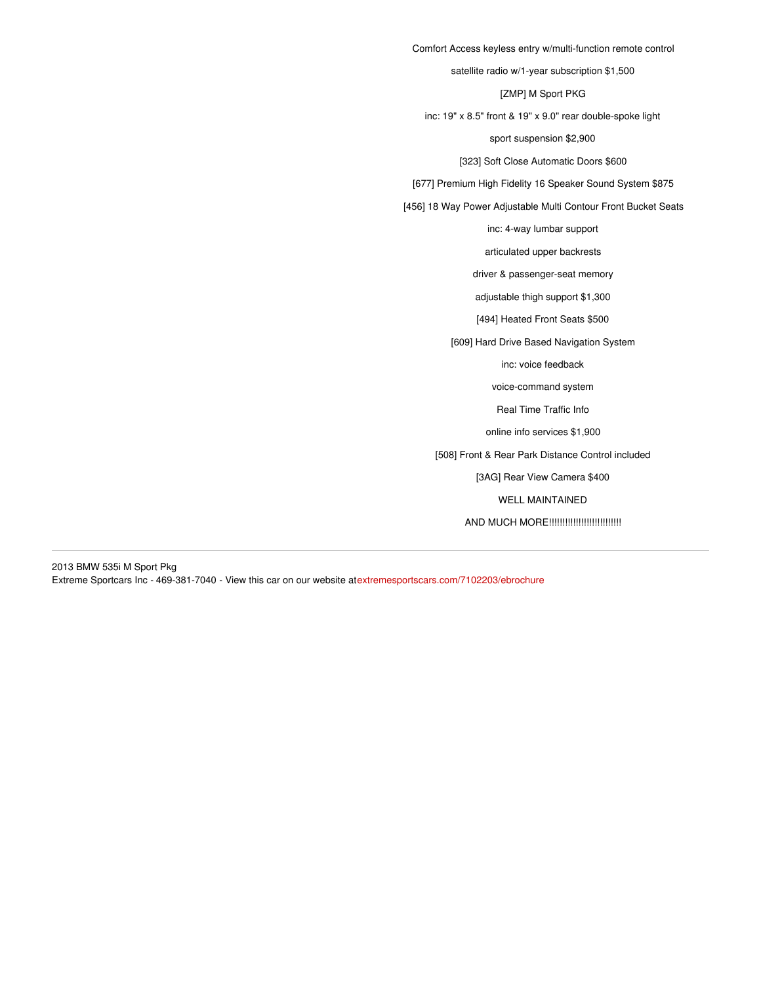Comfort Access keyless entry w/multi-function remote control satellite radio w/1-year subscription \$1,500 [ZMP] M Sport PKG inc: 19" x 8.5" front & 19" x 9.0" rear double-spoke light sport suspension \$2,900 [323] Soft Close Automatic Doors \$600 [677] Premium High Fidelity 16 Speaker Sound System \$875 [456] 18 Way Power Adjustable Multi Contour Front Bucket Seats inc: 4-way lumbar support articulated upper backrests driver & passenger-seat memory adjustable thigh support \$1,300 [494] Heated Front Seats \$500 [609] Hard Drive Based Navigation System inc: voice feedback voice-command system

Real Time Traffic Info

online info services \$1,900

[508] Front & Rear Park Distance Control included

[3AG] Rear View Camera \$400

WELL MAINTAINED

AND MUCH MORE!!!!!!!!!!!!!!!!!!!!!!!!!!!

2013 BMW 535i M Sport Pkg Extreme Sportcars Inc - 469-381-7040 - View this car on our website at[extremesportscars.com/7102203/ebrochure](https://extremesportscars.com/vehicle/7102203/2013-bmw-535i-m-sport-pkg-addison-tx-75001/7102203/ebrochure)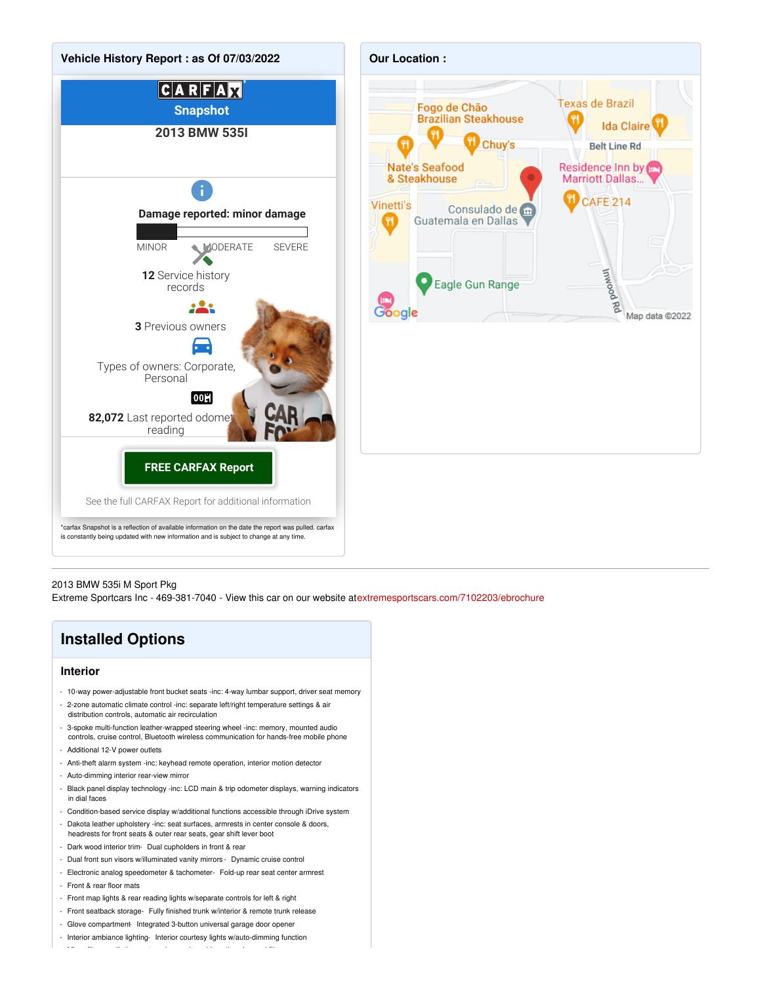

#### 2013 BMW 535i M Sport Pkg

Extreme Sportcars Inc - 469-381-7040 - View this car on our website at[extremesportscars.com/7102203/ebrochure](https://extremesportscars.com/vehicle/7102203/2013-bmw-535i-m-sport-pkg-addison-tx-75001/7102203/ebrochure)

### **Installed Options**

### **Interior**

- 10-way power-adjustable front bucket seats -inc: 4-way lumbar support, driver seat memory - 2-zone automatic climate control -inc: separate left/right temperature settings & air
- distribution controls, automatic air recirculation - 3-spoke multi-function leather-wrapped steering wheel -inc: memory, mounted audio
- controls, cruise control, Bluetooth wireless communication for hands-free mobile phone
- Additional 12-V power outlets
- Anti-theft alarm system -inc: keyhead remote operation, interior motion detector
- Auto-dimming interior rear-view mirror
- Black panel display technology -inc: LCD main & trip odometer displays, warning indicators in dial faces
- Condition-based service display w/additional functions accessible through iDrive system
- Dakota leather upholstery -inc: seat surfaces, armrests in center console & doors, headrests for front seats & outer rear seats, gear shift lever boot
- Dark wood interior trim- Dual cupholders in front & rear
- Dual front sun visors w/illuminated vanity mirrors Dynamic cruise control
- Electronic analog speedometer & tachometer- Fold-up rear seat center armrest - Front & rear floor mats
- Front map lights & rear reading lights w/separate controls for left & right
- Front seatback storage- Fully finished trunk w/interior & remote trunk release
- Glove compartment Integrated 3-button universal garage door opener

- Micro-filter ventilation system -inc: replaceable active-charcoal filters

- Interior ambiance lighting- Interior courtesy lights w/auto-dimming function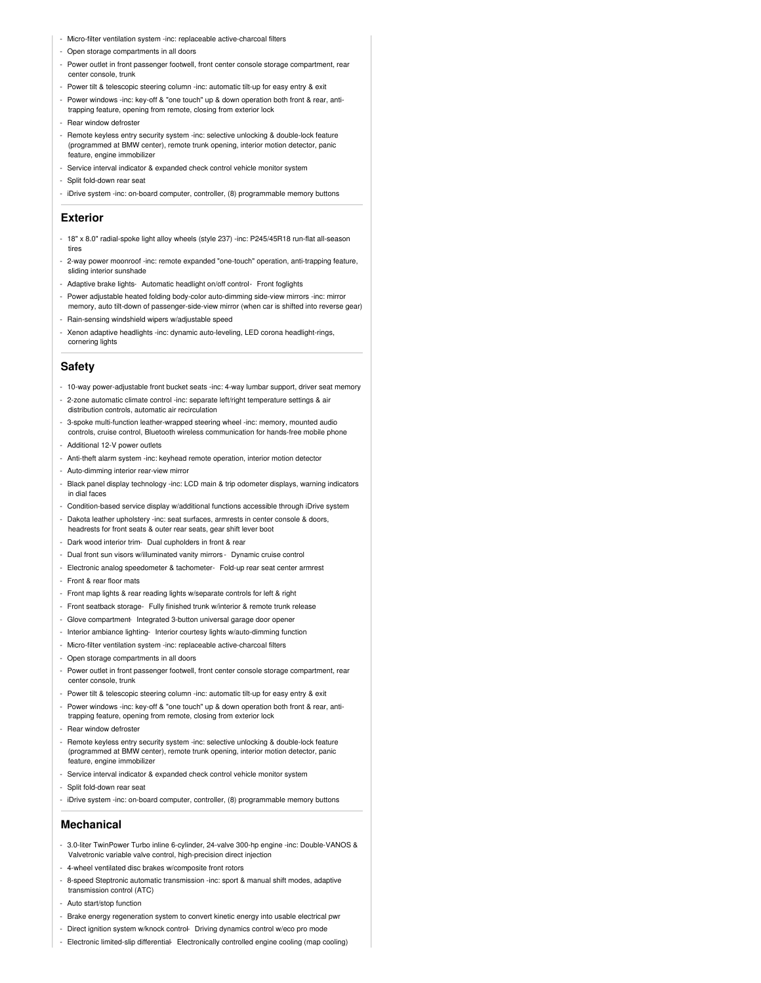- Micro-filter ventilation system -inc: replaceable active-charcoal filters
- Open storage compartments in all doors
- Power outlet in front passenger footwell, front center console storage compartment, rear center console, trunk
- Power tilt & telescopic steering column -inc: automatic tilt-up for easy entry & exit
- Power windows -inc: key-off & "one touch" up & down operation both front & rear, antitrapping feature, opening from remote, closing from exterior lock
- Rear window defroster
- Remote keyless entry security system -inc: selective unlocking & double-lock feature (programmed at BMW center), remote trunk opening, interior motion detector, panic feature, engine immobilizer
- Service interval indicator & expanded check control vehicle monitor system
- Split fold-down rear seat
- iDrive system -inc: on-board computer, controller, (8) programmable memory buttons

### **Exterior**

- 18" x 8.0" radial-spoke light alloy wheels (style 237) -inc: P245/45R18 run-flat all-season tires
- 2-way power moonroof -inc: remote expanded "one-touch" operation, anti-trapping feature, sliding interior sunshade
- Adaptive brake lights- Automatic headlight on/off control- Front foglights
- Power adjustable heated folding body-color auto-dimming side-view mirrors -inc: mirror memory, auto tilt-down of passenger-side-view mirror (when car is shifted into reverse gear)
- Rain-sensing windshield wipers w/adjustable speed
- Xenon adaptive headlights -inc: dynamic auto-leveling, LED corona headlight-rings, cornering lights

#### **Safety**

- 10-way power-adjustable front bucket seats -inc: 4-way lumbar support, driver seat memory
- 2-zone automatic climate control -inc: separate left/right temperature settings & air distribution controls, automatic air recirculation
- 3-spoke multi-function leather-wrapped steering wheel -inc: memory, mounted audio ntrols, cruise control, Bluetooth wireless communication for hands-free mobile phone
- Additional 12-V power outlets
- Anti-theft alarm system -inc: keyhead remote operation, interior motion detector
- Auto-dimming interior rear-view mirror
- Black panel display technology -inc: LCD main & trip odometer displays, warning indicators in dial faces
- Condition-based service display w/additional functions accessible through iDrive system
- Dakota leather upholstery -inc: seat surfaces, armrests in center console & doors, headrests for front seats & outer rear seats, gear shift lever boot
- Dark wood interior trim- Dual cupholders in front & rear
- Dual front sun visors w/illuminated vanity mirrors Dynamic cruise control
- Electronic analog speedometer & tachometer- Fold-up rear seat center armrest
- Front & rear floor mats
- Front map lights & rear reading lights w/separate controls for left & right
- Front seatback storage- Fully finished trunk w/interior & remote trunk release
- Glove compartment- Integrated 3-button universal garage door opener
- Interior ambiance lighting- Interior courtesy lights w/auto-dimming function
- Micro-filter ventilation system -inc: replaceable active-charcoal filters
- Open storage compartments in all doors
- Power outlet in front passenger footwell, front center console storage compartment, rear center console, trunk
- Power tilt & telescopic steering column -inc: automatic tilt-up for easy entry & exit
- Power windows -inc: key-off & "one touch" up & down operation both front & rear, antitrapping feature, opening from remote, closing from exterior lock
- Rear window defroster
- Remote keyless entry security system -inc: selective unlocking & double-lock feature (programmed at BMW center), remote trunk opening, interior motion detector, panic feature, engine immobilizer
- Service interval indicator & expanded check control vehicle monitor system
- Split fold-down rear seat
- iDrive system -inc: on-board computer, controller, (8) programmable memory buttons

### **Mechanical**

- 3.0-liter TwinPower Turbo inline 6-cylinder, 24-valve 300-hp engine -inc: Double-VANOS & Valvetronic variable valve control, high-precision direct injection
- 4-wheel ventilated disc brakes w/composite front rotors
- 8-speed Steptronic automatic transmission -inc: sport & manual shift modes, adaptive transmission control (ATC)
- Auto start/stop function
- Brake energy regeneration system to convert kinetic energy into usable electrical pwr
- Direct ignition system w/knock control- Driving dynamics control w/eco pro mode
- Electronic limited-slip differential- Electronically controlled engine cooling (map cooling)